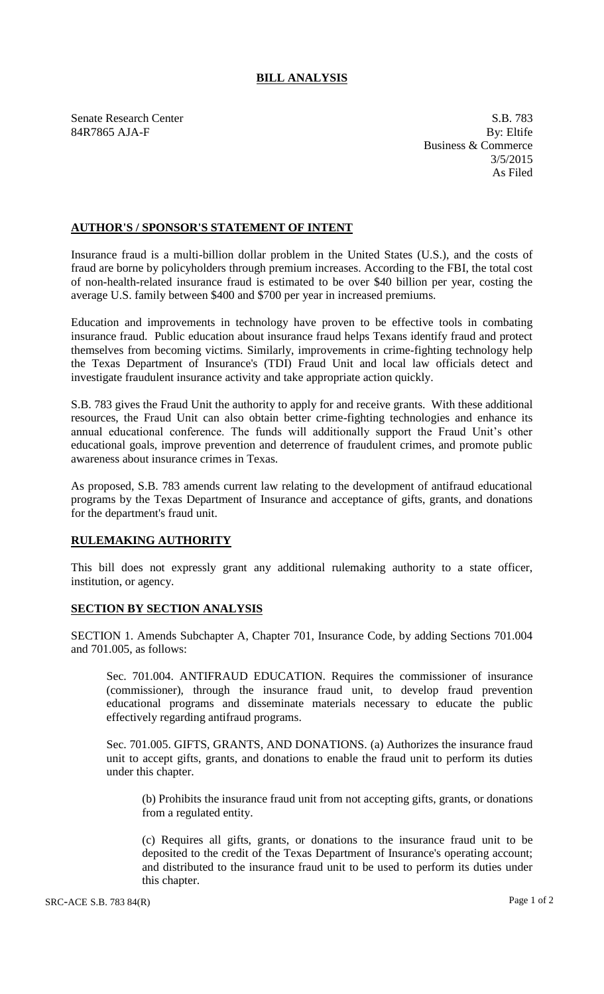## **BILL ANALYSIS**

Senate Research Center S.B. 783 84R7865 AJA-F By: Eltife

Business & Commerce 3/5/2015 As Filed

## **AUTHOR'S / SPONSOR'S STATEMENT OF INTENT**

Insurance fraud is a multi-billion dollar problem in the United States (U.S.), and the costs of fraud are borne by policyholders through premium increases. According to the FBI, the total cost of non-health-related insurance fraud is estimated to be over \$40 billion per year, costing the average U.S. family between \$400 and \$700 per year in increased premiums.

Education and improvements in technology have proven to be effective tools in combating insurance fraud. Public education about insurance fraud helps Texans identify fraud and protect themselves from becoming victims. Similarly, improvements in crime-fighting technology help the Texas Department of Insurance's (TDI) Fraud Unit and local law officials detect and investigate fraudulent insurance activity and take appropriate action quickly.

S.B. 783 gives the Fraud Unit the authority to apply for and receive grants. With these additional resources, the Fraud Unit can also obtain better crime-fighting technologies and enhance its annual educational conference. The funds will additionally support the Fraud Unit's other educational goals, improve prevention and deterrence of fraudulent crimes, and promote public awareness about insurance crimes in Texas.

As proposed, S.B. 783 amends current law relating to the development of antifraud educational programs by the Texas Department of Insurance and acceptance of gifts, grants, and donations for the department's fraud unit.

## **RULEMAKING AUTHORITY**

This bill does not expressly grant any additional rulemaking authority to a state officer, institution, or agency.

## **SECTION BY SECTION ANALYSIS**

SECTION 1. Amends Subchapter A, Chapter 701, Insurance Code, by adding Sections 701.004 and 701.005, as follows:

Sec. 701.004. ANTIFRAUD EDUCATION. Requires the commissioner of insurance (commissioner), through the insurance fraud unit, to develop fraud prevention educational programs and disseminate materials necessary to educate the public effectively regarding antifraud programs.

Sec. 701.005. GIFTS, GRANTS, AND DONATIONS. (a) Authorizes the insurance fraud unit to accept gifts, grants, and donations to enable the fraud unit to perform its duties under this chapter.

(b) Prohibits the insurance fraud unit from not accepting gifts, grants, or donations from a regulated entity.

(c) Requires all gifts, grants, or donations to the insurance fraud unit to be deposited to the credit of the Texas Department of Insurance's operating account; and distributed to the insurance fraud unit to be used to perform its duties under this chapter.